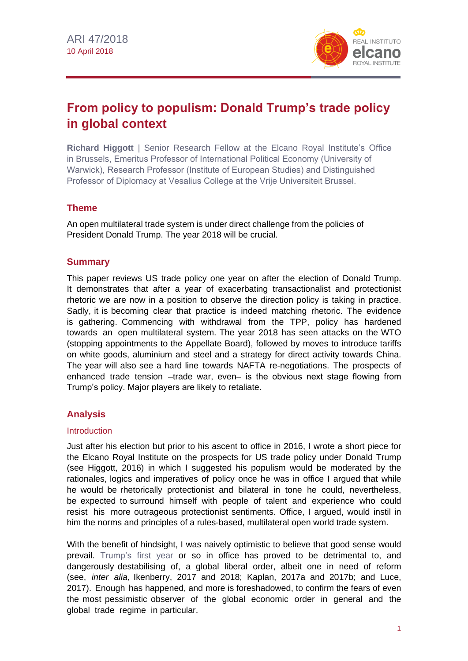

# **From policy to populism: Donald Trump's trade policy in global context**

**Richard Higgott** | Senior Research Fellow at the Elcano Royal Institute's Office in Brussels, Emeritus Professor of International Political Economy (University of Warwick), Research Professor (Institute of European Studies) and Distinguished Professor of Diplomacy at Vesalius College at the Vrije Universiteit Brussel.

# **Theme**

An open multilateral trade system is under direct challenge from the policies of President Donald Trump. The year 2018 will be crucial.

## **Summary**

This paper reviews US trade policy one year on after the election of Donald Trump. It demonstrates that after a year of exacerbating transactionalist and protectionist rhetoric we are now in a position to observe the direction policy is taking in practice. Sadly, it is becoming clear that practice is indeed matching rhetoric. The evidence is gathering. Commencing with withdrawal from the TPP, policy has hardened towards an open multilateral system. The year 2018 has seen attacks on the WTO (stopping appointments to the Appellate Board), followed by moves to introduce tariffs on white goods, aluminium and steel and a strategy for direct activity towards China. The year will also see a hard line towards NAFTA re-negotiations. The prospects of enhanced trade tension –trade war, even– is the obvious next stage flowing from Trump's policy. Major players are likely to retaliate.

# **Analysis**

#### **Introduction**

Just after his election but prior to his ascent to office in 2016, I wrote a short piece for the Elcano Royal Institute on the prospects for US trade policy under Donald Trump (see Higgott, 2016) in which I suggested his populism would be moderated by the rationales, logics and imperatives of policy once he was in office I argued that while he would be rhetorically protectionist and bilateral in tone he could, nevertheless, be expected to surround himself with people of talent and experience who could resist his more outrageous protectionist sentiments. Office, I argued, would instil in him the norms and principles of a rules-based, multilateral open world trade system.

With the benefit of hindsight, I was naively optimistic to believe that good sense would prevail. [Trump's first year](https://especiales.realinstitutoelcano.org/eeuu/?lang=en) or so in office has proved to be detrimental to, and dangerously destabilising of, a global liberal order, albeit one in need of reform (see, *inter alia,* Ikenberry, 2017 and 2018; Kaplan, 2017a and 2017b; and Luce, 2017). Enough has happened, and more is foreshadowed, to confirm the fears of even the most pessimistic observer of the global economic order in general and the global trade regime in particular.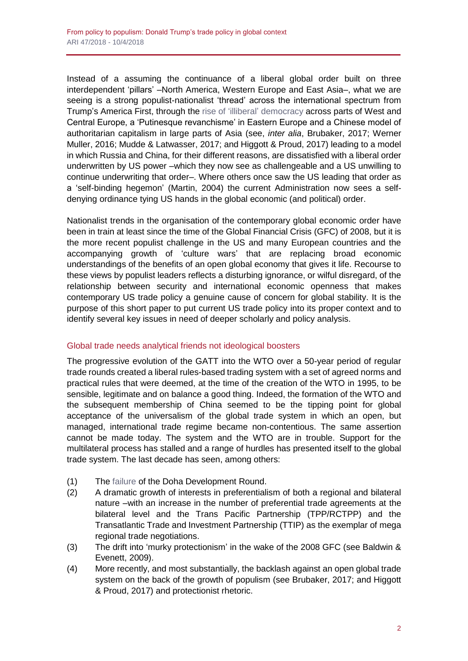Instead of a assuming the continuance of a liberal global order built on three interdependent 'pillars' –North America, Western Europe and East Asia–, what we are seeing is a strong populist-nationalist 'thread' across the international spectrum from Trump's America First, through the [rise of 'illiberal'](https://blog.realinstitutoelcano.org/en/the-eus-limits-in-the-face-of-polands-retrograde-step-towards-illiberalism/) democracy across parts of West and Central Europe, a 'Putinesque revanchisme' in Eastern Europe and a Chinese model of authoritarian capitalism in large parts of Asia (see, *inter alia*, Brubaker, 2017; Werner Muller, 2016; Mudde & Latwasser, 2017; and Higgott & Proud, 2017) leading to a model in which Russia and China, for their different reasons, are dissatisfied with a liberal order underwritten by US power –which they now see as challengeable and a US unwilling to continue underwriting that order–. Where others once saw the US leading that order as a 'self-binding hegemon' (Martin, 2004) the current Administration now sees a selfdenying ordinance tying US hands in the global economic (and political) order.

Nationalist trends in the organisation of the contemporary global economic order have been in train at least since the time of the Global Financial Crisis (GFC) of 2008, but it is the more recent populist challenge in the US and many European countries and the accompanying growth of 'culture wars' that are replacing broad economic understandings of the benefits of an open global economy that gives it life. Recourse to these views by populist leaders reflects a disturbing ignorance, or wilful disregard, of the relationship between security and international economic openness that makes contemporary US trade policy a genuine cause of concern for global stability. It is the purpose of this short paper to put current US trade policy into its proper context and to identify several key issues in need of deeper scholarly and policy analysis.

# Global trade needs analytical friends not ideological boosters

The progressive evolution of the GATT into the WTO over a 50-year period of regular trade rounds created a liberal rules-based trading system with a set of agreed norms and practical rules that were deemed, at the time of the creation of the WTO in 1995, to be sensible, legitimate and on balance a good thing. Indeed, the formation of the WTO and the subsequent membership of China seemed to be the tipping point for global acceptance of the universalism of the global trade system in which an open, but managed, international trade regime became non-contentious. The same assertion cannot be made today. The system and the WTO are in trouble. Support for the multilateral process has stalled and a range of hurdles has presented itself to the global trade system. The last decade has seen, among others:

- (1) The [failure](https://blog.realinstitutoelcano.org/en/the-discreet-burial-of-the-doha-round/) of the Doha Development Round.
- (2) A dramatic growth of interests in preferentialism of both a regional and bilateral nature –with an increase in the number of preferential trade agreements at the bilateral level and the Trans Pacific Partnership (TPP/RCTPP) and the Transatlantic Trade and Investment Partnership (TTIP) as the exemplar of mega regional trade negotiations.
- (3) The drift into 'murky protectionism' in the wake of the 2008 GFC (see Baldwin & Evenett, 2009).
- (4) More recently, and most substantially, the backlash against an open global trade system on the back of the growth of populism (see Brubaker, 2017; and Higgott & Proud, 2017) and protectionist rhetoric.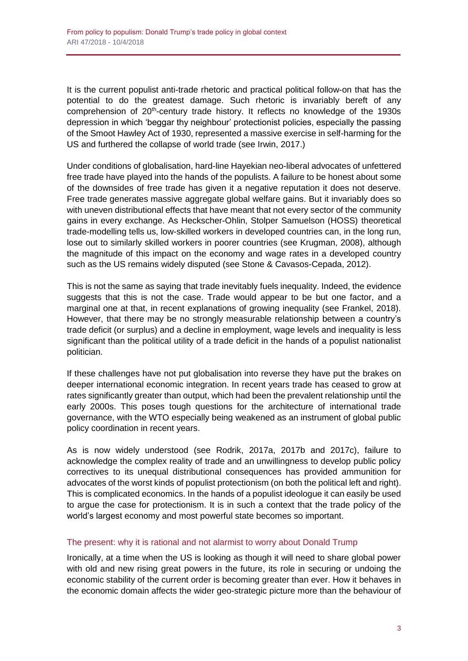It is the current populist anti-trade rhetoric and practical political follow-on that has the potential to do the greatest damage. Such rhetoric is invariably bereft of any comprehension of 20<sup>th</sup>-century trade history. It reflects no knowledge of the 1930s depression in which 'beggar thy neighbour' protectionist policies, especially the passing of the Smoot Hawley Act of 1930, represented a massive exercise in self-harming for the US and furthered the collapse of world trade (see Irwin, 2017.)

Under conditions of globalisation, hard-line Hayekian neo-liberal advocates of unfettered free trade have played into the hands of the populists. A failure to be honest about some of the downsides of free trade has given it a negative reputation it does not deserve. Free trade generates massive aggregate global welfare gains. But it invariably does so with uneven distributional effects that have meant that not every sector of the community gains in every exchange. As Heckscher-Ohlin, Stolper Samuelson (HOSS) theoretical trade-modelling tells us, low-skilled workers in developed countries can, in the long run, lose out to similarly skilled workers in poorer countries (see Krugman, 2008), although the magnitude of this impact on the economy and wage rates in a developed country such as the US remains widely disputed (see Stone & Cavasos-Cepada, 2012).

This is not the same as saying that trade inevitably fuels inequality. Indeed, the evidence suggests that this is not the case. Trade would appear to be but one factor, and a marginal one at that, in recent explanations of growing inequality (see Frankel, 2018). However, that there may be no strongly measurable relationship between a country's trade deficit (or surplus) and a decline in employment, wage levels and inequality is less significant than the political utility of a trade deficit in the hands of a populist nationalist politician.

If these challenges have not put globalisation into reverse they have put the brakes on deeper international economic integration. In recent years trade has ceased to grow at rates significantly greater than output, which had been the prevalent relationship until the early 2000s. This poses tough questions for the architecture of international trade governance, with the WTO especially being weakened as an instrument of global public policy coordination in recent years.

As is now widely understood (see Rodrik, 2017a, 2017b and 2017c), failure to acknowledge the complex reality of trade and an unwillingness to develop public policy correctives to its unequal distributional consequences has provided ammunition for advocates of the worst kinds of populist protectionism (on both the political left and right). This is complicated economics. In the hands of a populist ideologue it can easily be used to argue the case for protectionism. It is in such a context that the trade policy of the world's largest economy and most powerful state becomes so important.

### The present: why it is rational and not alarmist to worry about Donald Trump

Ironically, at a time when the US is looking as though it will need to share global power with old and new rising great powers in the future, its role in securing or undoing the economic stability of the current order is becoming greater than ever. How it behaves in the economic domain affects the wider geo-strategic picture more than the behaviour of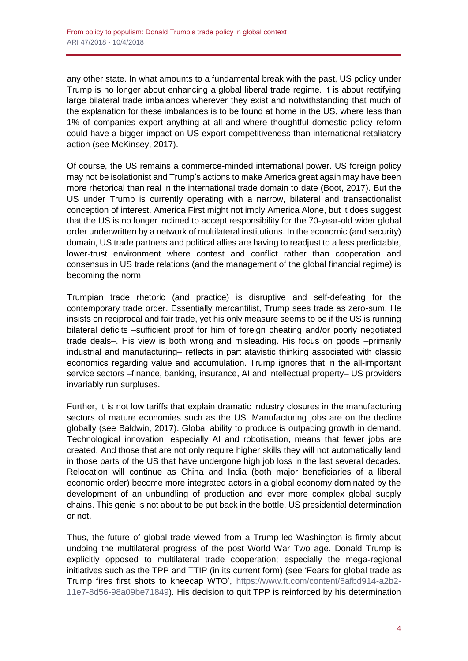any other state. In what amounts to a fundamental break with the past, US policy under Trump is no longer about enhancing a global liberal trade regime. It is about rectifying large bilateral trade imbalances wherever they exist and notwithstanding that much of the explanation for these imbalances is to be found at home in the US, where less than 1% of companies export anything at all and where thoughtful domestic policy reform could have a bigger impact on US export competitiveness than international retaliatory action (see McKinsey, 2017).

Of course, the US remains a commerce-minded international power. US foreign policy may not be isolationist and Trump's actions to make America great again may have been more rhetorical than real in the international trade domain to date (Boot, 2017). But the US under Trump is currently operating with a narrow, bilateral and transactionalist conception of interest. America First might not imply America Alone, but it does suggest that the US is no longer inclined to accept responsibility for the 70-year-old wider global order underwritten by a network of multilateral institutions. In the economic (and security) domain, US trade partners and political allies are having to readjust to a less predictable, lower-trust environment where contest and conflict rather than cooperation and consensus in US trade relations (and the management of the global financial regime) is becoming the norm.

Trumpian trade rhetoric (and practice) is disruptive and self-defeating for the contemporary trade order. Essentially mercantilist, Trump sees trade as zero-sum. He insists on reciprocal and fair trade, yet his only measure seems to be if the US is running bilateral deficits –sufficient proof for him of foreign cheating and/or poorly negotiated trade deals–. His view is both wrong and misleading. His focus on goods –primarily industrial and manufacturing– reflects in part atavistic thinking associated with classic economics regarding value and accumulation. Trump ignores that in the all-important service sectors –finance, banking, insurance, AI and intellectual property– US providers invariably run surpluses.

Further, it is not low tariffs that explain dramatic industry closures in the manufacturing sectors of mature economies such as the US. Manufacturing jobs are on the decline globally (see Baldwin, 2017). Global ability to produce is outpacing growth in demand. Technological innovation, especially AI and robotisation, means that fewer jobs are created. And those that are not only require higher skills they will not automatically land in those parts of the US that have undergone high job loss in the last several decades. Relocation will continue as China and India (both major beneficiaries of a liberal economic order) become more integrated actors in a global economy dominated by the development of an unbundling of production and ever more complex global supply chains. This genie is not about to be put back in the bottle, US presidential determination or not.

Thus, the future of global trade viewed from a Trump-led Washington is firmly about undoing the multilateral progress of the post World War Two age. Donald Trump is explicitly opposed to multilateral trade cooperation; especially the mega-regional initiatives such as the TPP and TTIP (in its current form) (see 'Fears for global trade as Trump fires first shots to kneecap WTO', [https://www.ft.com/content/5afbd914-a2b2-](https://www.ft.com/content/5afbd914-a2b2-11e7-8d56-98a09be71849) [11e7-8d56-98a09be71849\)](https://www.ft.com/content/5afbd914-a2b2-11e7-8d56-98a09be71849). His decision to quit TPP is reinforced by his determination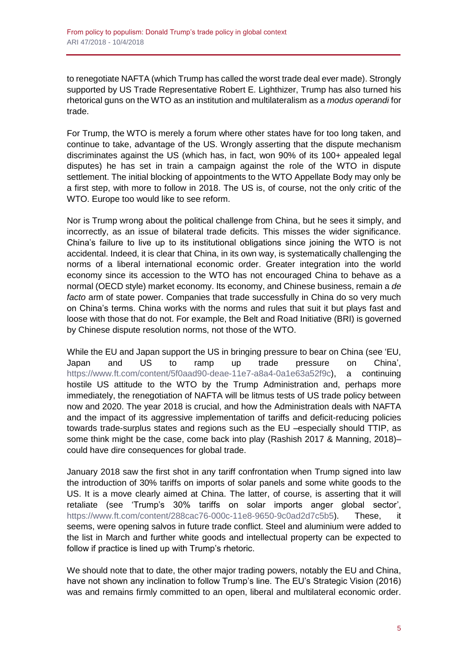to renegotiate NAFTA (which Trump has called the worst trade deal ever made). Strongly supported by US Trade Representative Robert E. Lighthizer, Trump has also turned his rhetorical guns on the WTO as an institution and multilateralism as a *modus operandi* for trade.

For Trump, the WTO is merely a forum where other states have for too long taken, and continue to take, advantage of the US. Wrongly asserting that the dispute mechanism discriminates against the US (which has, in fact, won 90% of its 100+ appealed legal disputes) he has set in train a campaign against the role of the WTO in dispute settlement. The initial blocking of appointments to the WTO Appellate Body may only be a first step, with more to follow in 2018. The US is, of course, not the only critic of the WTO. Europe too would like to see reform.

Nor is Trump wrong about the political challenge from China, but he sees it simply, and incorrectly, as an issue of bilateral trade deficits. This misses the wider significance. China's failure to live up to its institutional obligations since joining the WTO is not accidental. Indeed, it is clear that China, in its own way, is systematically challenging the norms of a liberal international economic order. Greater integration into the world economy since its accession to the WTO has not encouraged China to behave as a normal (OECD style) market economy. Its economy, and Chinese business, remain a *de facto* arm of state power. Companies that trade successfully in China do so very much on China's terms. China works with the norms and rules that suit it but plays fast and loose with those that do not. For example, the Belt and Road Initiative (BRI) is governed by Chinese dispute resolution norms, not those of the WTO.

While the EU and Japan support the US in bringing pressure to bear on China (see 'EU, Japan and US to ramp up trade pressure on China', [https://www.ft.com/content/5f0aad90-deae-11e7-a8a4-0a1e63a52f9c\)](https://www.ft.com/content/5f0aad90-deae-11e7-a8a4-0a1e63a52f9c), a continuing hostile US attitude to the WTO by the Trump Administration and, perhaps more immediately, the renegotiation of NAFTA will be litmus tests of US trade policy between now and 2020. The year 2018 is crucial, and how the Administration deals with NAFTA and the impact of its aggressive implementation of tariffs and deficit-reducing policies towards trade-surplus states and regions such as the EU –especially should TTIP, as some think might be the case, come back into play (Rashish 2017 & Manning, 2018)– could have dire consequences for global trade.

January 2018 saw the first shot in any tariff confrontation when Trump signed into law the introduction of 30% tariffs on imports of solar panels and some white goods to the US. It is a move clearly aimed at China. The latter, of course, is asserting that it will retaliate (see 'Trump's 30% tariffs on solar imports anger global sector', [https://www.ft.com/content/288cac76-000c-11e8-9650-9c0ad2d7c5b5\)](https://www.ft.com/content/288cac76-000c-11e8-9650-9c0ad2d7c5b5). These, it seems, were opening salvos in future trade conflict. Steel and aluminium were added to the list in March and further white goods and intellectual property can be expected to follow if practice is lined up with Trump's rhetoric.

We should note that to date, the other major trading powers, notably the EU and China, have not shown any inclination to follow Trump's line. The EU's Strategic Vision (2016) was and remains firmly committed to an open, liberal and multilateral economic order.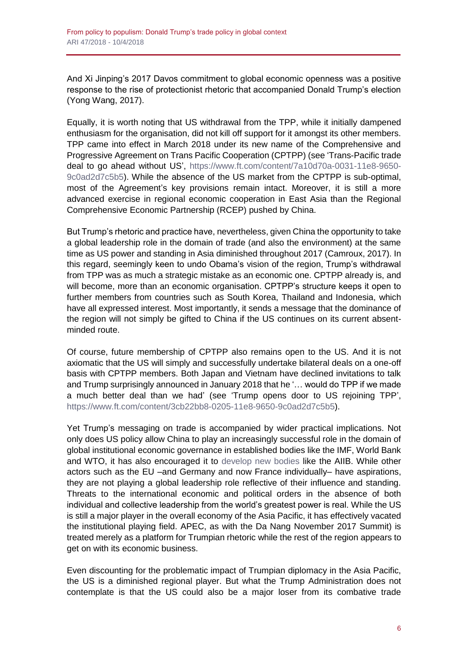And Xi Jinping's 2017 Davos commitment to global economic openness was a positive response to the rise of protectionist rhetoric that accompanied Donald Trump's election (Yong Wang, 2017).

Equally, it is worth noting that US withdrawal from the TPP, while it initially dampened enthusiasm for the organisation, did not kill off support for it amongst its other members. TPP came into effect in March 2018 under its new name of the Comprehensive and Progressive Agreement on Trans Pacific Cooperation (CPTPP) (see 'Trans-Pacific trade deal to go ahead without US', [https://www.ft.com/content/7a10d70a-0031-11e8-9650-](https://www.ft.com/content/7a10d70a-0031-11e8-9650-9c0ad2d7c5b5) [9c0ad2d7c5b5\)](https://www.ft.com/content/7a10d70a-0031-11e8-9650-9c0ad2d7c5b5). While the absence of the US market from the CPTPP is sub-optimal, most of the Agreement's key provisions remain intact. Moreover, it is still a more advanced exercise in regional economic cooperation in East Asia than the Regional Comprehensive Economic Partnership (RCEP) pushed by China.

But Trump's rhetoric and practice have, nevertheless, given China the opportunity to take a global leadership role in the domain of trade (and also the environment) at the same time as US power and standing in Asia diminished throughout 2017 (Camroux, 2017). In this regard, seemingly keen to undo Obama's vision of the region, Trump's withdrawal from TPP was as much a strategic mistake as an economic one. CPTPP already is, and will become, more than an economic organisation. CPTPP's structure keeps it open to further members from countries such as South Korea, Thailand and Indonesia, which have all expressed interest. Most importantly, it sends a message that the dominance of the region will not simply be gifted to China if the US continues on its current absentminded route.

Of course, future membership of CPTPP also remains open to the US. And it is not axiomatic that the US will simply and successfully undertake bilateral deals on a one-off basis with CPTPP members. Both Japan and Vietnam have declined invitations to talk and Trump surprisingly announced in January 2018 that he '… would do TPP if we made a much better deal than we had' (see 'Trump opens door to US rejoining TPP', [https://www.ft.com/content/3cb22bb8-0205-11e8-9650-9c0ad2d7c5b5\)](https://www.ft.com/content/3cb22bb8-0205-11e8-9650-9c0ad2d7c5b5).

Yet Trump's messaging on trade is accompanied by wider practical implications. Not only does US policy allow China to play an increasingly successful role in the domain of global institutional economic governance in established bodies like the IMF, World Bank and WTO, it has also encouraged it to [develop new bodies](http://www.realinstitutoelcano.org/wps/portal/web/rielcano_en/contenido?WCM_GLOBAL_CONTEXT=/elcano/elcano_in/zonas_in/ari23-2015-esteban-oteroiglesias-what-are-prospects-for-new-chinese-led-silk-road-and-asian-infrastructure-investment-bank) like the AIIB. While other actors such as the EU –and Germany and now France individually– have aspirations, they are not playing a global leadership role reflective of their influence and standing. Threats to the international economic and political orders in the absence of both individual and collective leadership from the world's greatest power is real. While the US is still a major player in the overall economy of the Asia Pacific, it has effectively vacated the institutional playing field. APEC, as with the Da Nang November 2017 Summit) is treated merely as a platform for Trumpian rhetoric while the rest of the region appears to get on with its economic business.

Even discounting for the problematic impact of Trumpian diplomacy in the Asia Pacific, the US is a diminished regional player. But what the Trump Administration does not contemplate is that the US could also be a major loser from its combative trade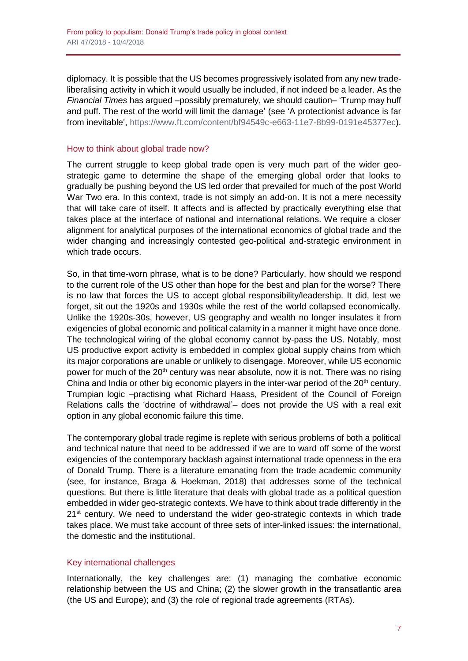diplomacy. It is possible that the US becomes progressively isolated from any new tradeliberalising activity in which it would usually be included, if not indeed be a leader. As the *Financial Times* has argued –possibly prematurely, we should caution– 'Trump may huff and puff. The rest of the world will limit the damage' (see 'A protectionist advance is far from inevitable', [https://www.ft.com/content/bf94549c-e663-11e7-8b99-0191e45377ec\)](https://www.ft.com/content/bf94549c-e663-11e7-8b99-0191e45377ec).

## How to think about global trade now?

The current struggle to keep global trade open is very much part of the wider geostrategic game to determine the shape of the emerging global order that looks to gradually be pushing beyond the US led order that prevailed for much of the post World War Two era. In this context, trade is not simply an add-on. It is not a mere necessity that will take care of itself. It affects and is affected by practically everything else that takes place at the interface of national and international relations. We require a closer alignment for analytical purposes of the international economics of global trade and the wider changing and increasingly contested geo-political and-strategic environment in which trade occurs.

So, in that time-worn phrase, what is to be done? Particularly, how should we respond to the current role of the US other than hope for the best and plan for the worse? There is no law that forces the US to accept global responsibility/leadership. It did, lest we forget, sit out the 1920s and 1930s while the rest of the world collapsed economically. Unlike the 1920s-30s, however, US geography and wealth no longer insulates it from exigencies of global economic and political calamity in a manner it might have once done. The technological wiring of the global economy cannot by-pass the US. Notably, most US productive export activity is embedded in complex global supply chains from which its major corporations are unable or unlikely to disengage. Moreover, while US economic power for much of the 20<sup>th</sup> century was near absolute, now it is not. There was no rising China and India or other big economic players in the inter-war period of the  $20<sup>th</sup>$  century. Trumpian logic –practising what Richard Haass, President of the Council of Foreign Relations calls the 'doctrine of withdrawal'- does not provide the US with a real exit option in any global economic failure this time.

The contemporary global trade regime is replete with serious problems of both a political and technical nature that need to be addressed if we are to ward off some of the worst exigencies of the contemporary backlash against international trade openness in the era of Donald Trump. There is a literature emanating from the trade academic community (see, for instance, Braga & Hoekman, 2018) that addresses some of the technical questions. But there is little literature that deals with global trade as a political question embedded in wider geo-strategic contexts. We have to think about trade differently in the 21<sup>st</sup> century. We need to understand the wider geo-strategic contexts in which trade takes place. We must take account of three sets of inter-linked issues: the international, the domestic and the institutional.

## Key international challenges

Internationally, the key challenges are: (1) managing the combative economic relationship between the US and China; (2) the slower growth in the transatlantic area (the US and Europe); and (3) the role of regional trade agreements (RTAs).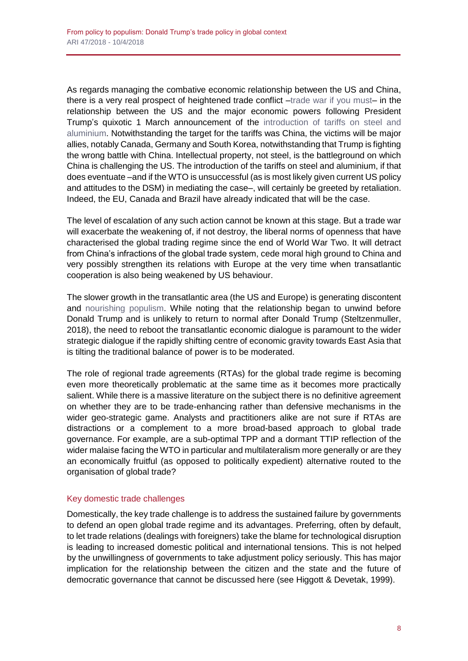As regards managing the combative economic relationship between the US and China, there is a very real prospect of heightened trade conflict [–trade war if you must–](http://www.realinstitutoelcano.org/wps/portal/rielcano_en/contenido?WCM_GLOBAL_CONTEXT=/elcano/elcano_in/zonas_in/commentary-steinberg-what-you-need-to-know-about-trump-trade-war) in the relationship between the US and the major economic powers following President Trump's quixotic 1 March announcement of the [introduction of tariffs on steel and](https://www.whitehouse.gov/briefings-statements/remarks-president-trump-listening-session-representatives-steel-aluminum-industry/)  [aluminium.](https://www.whitehouse.gov/briefings-statements/remarks-president-trump-listening-session-representatives-steel-aluminum-industry/) Notwithstanding the target for the tariffs was China, the victims will be major allies, notably Canada, Germany and South Korea, notwithstanding that Trump is fighting the wrong battle with China. Intellectual property, not steel, is the battleground on which China is challenging the US. The introduction of the tariffs on steel and aluminium, if that does eventuate –and if the WTO is unsuccessful (as is most likely given current US policy and attitudes to the DSM) in mediating the case–, will certainly be greeted by retaliation. Indeed, the EU, Canada and Brazil have already indicated that will be the case.

The level of escalation of any such action cannot be known at this stage. But a trade war will exacerbate the weakening of, if not destroy, the liberal norms of openness that have characterised the global trading regime since the end of World War Two. It will detract from China's infractions of the global trade system, cede moral high ground to China and very possibly strengthen its relations with Europe at the very time when transatlantic cooperation is also being weakened by US behaviour.

The slower growth in the transatlantic area (the US and Europe) is generating discontent and [nourishing populism.](http://www.realinstitutoelcano.org/wps/portal/rielcano_en/contenido?WCM_GLOBAL_CONTEXT=/elcano/elcano_in/zonas_in/ARI20-2017-OteroIglesias-Steinberg-Reasons-rejecting-globalisation-beyond-inequality-xenofobia) While noting that the relationship began to unwind before Donald Trump and is unlikely to return to normal after Donald Trump (Steltzenmuller, 2018), the need to reboot the transatlantic economic dialogue is paramount to the wider strategic dialogue if the rapidly shifting centre of economic gravity towards East Asia that is tilting the traditional balance of power is to be moderated.

The role of regional trade agreements (RTAs) for the global trade regime is becoming even more theoretically problematic at the same time as it becomes more practically salient. While there is a massive literature on the subject there is no definitive agreement on whether they are to be trade-enhancing rather than defensive mechanisms in the wider geo-strategic game. Analysts and practitioners alike are not sure if RTAs are distractions or a complement to a more broad-based approach to global trade governance. For example, are a sub-optimal TPP and a dormant TTIP reflection of the wider malaise facing the WTO in particular and multilateralism more generally or are they an economically fruitful (as opposed to politically expedient) alternative routed to the organisation of global trade?

# Key domestic trade challenges

Domestically, the key trade challenge is to address the sustained failure by governments to defend an open global trade regime and its advantages. Preferring, often by default, to let trade relations (dealings with foreigners) take the blame for technological disruption is leading to increased domestic political and international tensions. This is not helped by the unwillingness of governments to take adjustment policy seriously. This has major implication for the relationship between the citizen and the state and the future of democratic governance that cannot be discussed here (see Higgott & Devetak, 1999).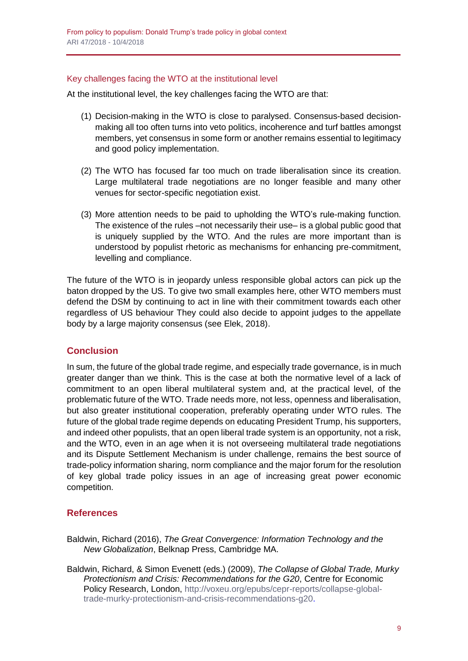## Key challenges facing the WTO at the institutional level

At the institutional level, the key challenges facing the WTO are that:

- (1) Decision-making in the WTO is close to paralysed. Consensus-based decisionmaking all too often turns into veto politics, incoherence and turf battles amongst members, yet consensus in some form or another remains essential to legitimacy and good policy implementation.
- (2) The WTO has focused far too much on trade liberalisation since its creation. Large multilateral trade negotiations are no longer feasible and many other venues for sector-specific negotiation exist.
- (3) More attention needs to be paid to upholding the WTO's rule-making function. The existence of the rules –not necessarily their use– is a global public good that is uniquely supplied by the WTO. And the rules are more important than is understood by populist rhetoric as mechanisms for enhancing pre-commitment, levelling and compliance.

The future of the WTO is in jeopardy unless responsible global actors can pick up the baton dropped by the US. To give two small examples here, other WTO members must defend the DSM by continuing to act in line with their commitment towards each other regardless of US behaviour They could also decide to appoint judges to the appellate body by a large majority consensus (see Elek, 2018).

# **Conclusion**

In sum, the future of the global trade regime, and especially trade governance, is in much greater danger than we think. This is the case at both the normative level of a lack of commitment to an open liberal multilateral system and, at the practical level, of the problematic future of the WTO. Trade needs more, not less, openness and liberalisation, but also greater institutional cooperation, preferably operating under WTO rules. The future of the global trade regime depends on educating President Trump, his supporters, and indeed other populists, that an open liberal trade system is an opportunity, not a risk, and the WTO, even in an age when it is not overseeing multilateral trade negotiations and its Dispute Settlement Mechanism is under challenge, remains the best source of trade-policy information sharing, norm compliance and the major forum for the resolution of key global trade policy issues in an age of increasing great power economic competition.

# **References**

- Baldwin, Richard (2016), *The Great Convergence: Information Technology and the New Globalization*, Belknap Press, Cambridge MA.
- Baldwin, Richard, & Simon Evenett (eds.) (2009), *The Collapse of Global Trade, Murky Protectionism and Crisis: Recommendations for the G20*, Centre for Economic Policy Research, London, [http://voxeu.org/epubs/cepr-reports/collapse-global](http://voxeu.org/epubs/cepr-reports/collapse-global-trade-murky-protectionism-and-crisis-recommendations-g20)[trade-murky-protectionism-and-crisis-recommendations-g20.](http://voxeu.org/epubs/cepr-reports/collapse-global-trade-murky-protectionism-and-crisis-recommendations-g20)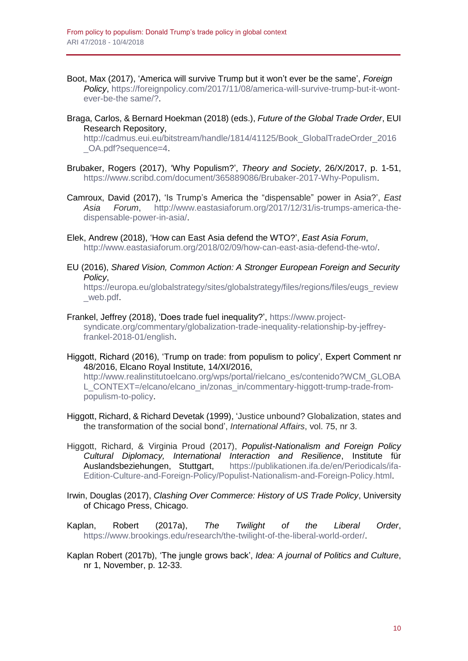- Boot, Max (2017), 'America will survive Trump but it won't ever be the same', *Foreign Policy*, [https://foreignpolicy.com/2017/11/08/america-will-survive-trump-but-it-wont](https://foreignpolicy.com/2017/11/08/america-will-survive-trump-but-it-wont-ever-be-the%20same/?)[ever-be-the same/?.](https://foreignpolicy.com/2017/11/08/america-will-survive-trump-but-it-wont-ever-be-the%20same/?)
- Braga, Carlos, & Bernard Hoekman (2018) (eds.), *Future of the Global Trade Order*, EUI Research Repository,

[http://cadmus.eui.eu/bitstream/handle/1814/41125/Book\\_GlobalTradeOrder\\_2016](http://cadmus.eui.eu/bitstream/handle/1814/41125/Book_GlobalTradeOrder_2016_OA.pdf?sequence=4) [\\_OA.pdf?sequence=4.](http://cadmus.eui.eu/bitstream/handle/1814/41125/Book_GlobalTradeOrder_2016_OA.pdf?sequence=4)

- Brubaker, Rogers (2017), 'Why Populism?', *Theory and Society*, 26/X/2017, p. 1-51, [https://www.scribd.com/document/365889086/Brubaker-2017-Why-Populism.](https://www.scribd.com/document/365889086/Brubaker-2017-Why-Populism)
- Camroux, David (2017), 'Is Trump's America the "dispensable" power in Asia?', *East Asia Forum*, [http://www.eastasiaforum.org/2017/12/31/is-trumps-america-the](http://www.eastasiaforum.org/2017/12/31/is-trumps-america-the-dispensable-power-in-asia/)[dispensable-power-in-asia/.](http://www.eastasiaforum.org/2017/12/31/is-trumps-america-the-dispensable-power-in-asia/)
- Elek, Andrew (2018), 'How can East Asia defend the WTO?', *East Asia Forum*, [http://www.eastasiaforum.org/2018/02/09/how-can-east-asia-defend-the-wto/.](http://www.eastasiaforum.org/2018/02/09/how-can-east-asia-defend-the-wto/)
- EU (2016), *Shared Vision, Common Action: A Stronger European Foreign and Security Policy*,

[https://europa.eu/globalstrategy/sites/globalstrategy/files/regions/files/eugs\\_review](https://europa.eu/globalstrategy/sites/globalstrategy/files/regions/files/eugs_review_web.pdf) [\\_web.pdf.](https://europa.eu/globalstrategy/sites/globalstrategy/files/regions/files/eugs_review_web.pdf)

- Frankel, Jeffrey (2018), 'Does trade fuel inequality?', [https://www.project](https://www.project-syndicate.org/commentary/globalization-trade-inequality-relationship-by-jeffrey-frankel-2018-01/english)[syndicate.org/commentary/globalization-trade-inequality-relationship-by-jeffrey](https://www.project-syndicate.org/commentary/globalization-trade-inequality-relationship-by-jeffrey-frankel-2018-01/english)[frankel-2018-01/english.](https://www.project-syndicate.org/commentary/globalization-trade-inequality-relationship-by-jeffrey-frankel-2018-01/english)
- Higgott, Richard (2016), 'Trump on trade: from populism to policy', Expert Comment nr 48/2016, Elcano Royal Institute, 14/XI/2016,

[http://www.realinstitutoelcano.org/wps/portal/rielcano\\_es/contenido?WCM\\_GLOBA](http://www.realinstitutoelcano.org/wps/portal/rielcano_es/contenido?WCM_GLOBAL_CONTEXT=/elcano/elcano_in/zonas_in/commentary-higgott-trump-trade-from-populism-to-policy) [L\\_CONTEXT=/elcano/elcano\\_in/zonas\\_in/commentary-higgott-trump-trade-from](http://www.realinstitutoelcano.org/wps/portal/rielcano_es/contenido?WCM_GLOBAL_CONTEXT=/elcano/elcano_in/zonas_in/commentary-higgott-trump-trade-from-populism-to-policy)[populism-to-policy.](http://www.realinstitutoelcano.org/wps/portal/rielcano_es/contenido?WCM_GLOBAL_CONTEXT=/elcano/elcano_in/zonas_in/commentary-higgott-trump-trade-from-populism-to-policy)

- Higgott, Richard, & Richard Devetak (1999), 'Justice unbound? Globalization, states and the transformation of the social bond', *International Affairs*, vol. 75, nr 3.
- Higgott, Richard, & Virginia Proud (2017), *Populist-Nationalism and Foreign Policy Cultural Diplomacy, International Interaction and Resilience*, Institute für Auslandsbeziehungen, Stuttgart, [https://publikationen.ifa.de/en/Periodicals/ifa-](https://publikationen.ifa.de/en/Periodicals/ifa-Edition-Culture-and-Foreign-Policy/Populist-Nationalism-and-Foreign-Policy.html)[Edition-Culture-and-Foreign-Policy/Populist-Nationalism-and-Foreign-Policy.html.](https://publikationen.ifa.de/en/Periodicals/ifa-Edition-Culture-and-Foreign-Policy/Populist-Nationalism-and-Foreign-Policy.html)
- Irwin, Douglas (2017), *Clashing Over Commerce: History of US Trade Policy*, University of Chicago Press, Chicago.
- Kaplan, Robert (2017a), *The Twilight of the Liberal Order*, [https://www.brookings.edu/research/the-twilight-of-the-liberal-world-order/.](https://www.brookings.edu/research/the-twilight-of-the-liberal-world-order/)
- Kaplan Robert (2017b), 'The jungle grows back', *Idea: A journal of Politics and Culture*, nr 1, November, p. 12-33.